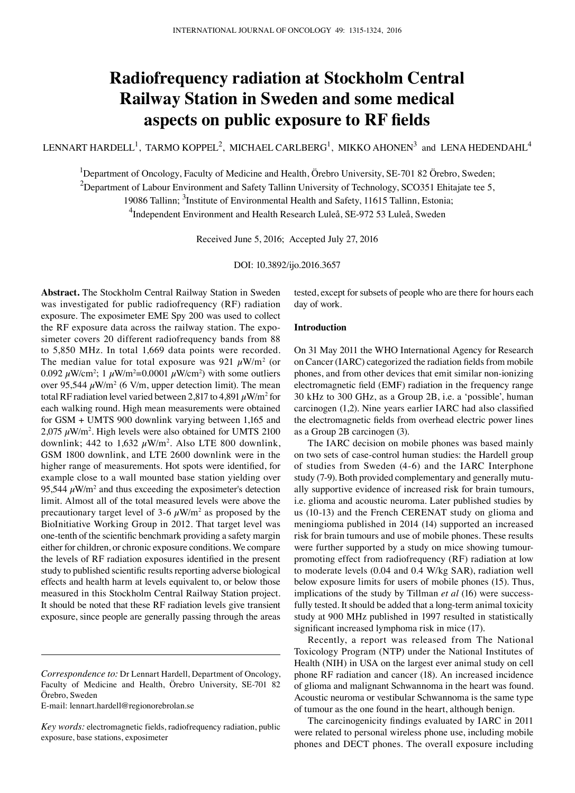# **Radiofrequency radiation at Stockholm Central Railway Station in Sweden and some medical aspects on public exposure to RF fields**

LENNART HARDELL<sup>1</sup>, TARMO KOPPEL<sup>2</sup>, MICHAEL CARLBERG<sup>1</sup>, MIKKO AHONEN<sup>3</sup> and LENA HEDENDAHL<sup>4</sup>

<sup>1</sup>Department of Oncology, Faculty of Medicine and Health, Örebro University, SE-701 82 Örebro, Sweden;

 $^{2}$ Department of Labour Environment and Safety Tallinn University of Technology, SCO351 Ehitajate tee 5,

19086 Tallinn; <sup>3</sup>Institute of Environmental Health and Safety, 11615 Tallinn, Estonia;

<sup>4</sup>Independent Environment and Health Research Luleå, SE-972 53 Luleå, Sweden

Received June 5, 2016; Accepted July 27, 2016

DOI: 10.3892/ijo.2016.3657

**Abstract.** The Stockholm Central Railway Station in Sweden was investigated for public radiofrequency (RF) radiation exposure. The exposimeter EME Spy 200 was used to collect the RF exposure data across the railway station. The exposimeter covers 20 different radiofrequency bands from 88 to 5,850 MHz. In total 1,669 data points were recorded. The median value for total exposure was 921  $\mu$ W/m<sup>2</sup> (or 0.092  $\mu$ W/cm<sup>2</sup>; 1  $\mu$ W/m<sup>2</sup>=0.0001  $\mu$ W/cm<sup>2</sup>) with some outliers over 95,544  $\mu$ W/m<sup>2</sup> (6 V/m, upper detection limit). The mean total RF radiation level varied between 2,817 to 4,891  $\mu$ W/m<sup>2</sup> for each walking round. High mean measurements were obtained for GSM + UMTS 900 downlink varying between 1,165 and  $2,075 \ \mu \text{W/m}^2$ . High levels were also obtained for UMTS 2100 downlink; 442 to  $1,632 \mu W/m^2$ . Also LTE 800 downlink, GSM 1800 downlink, and LTE 2600 downlink were in the higher range of measurements. Hot spots were identified, for example close to a wall mounted base station yielding over 95,544  $\mu$ W/m<sup>2</sup> and thus exceeding the exposimeter's detection limit. Almost all of the total measured levels were above the precautionary target level of 3-6  $\mu$ W/m<sup>2</sup> as proposed by the BioInitiative Working Group in 2012. That target level was one-tenth of the scientific benchmark providing a safety margin either for children, or chronic exposure conditions. We compare the levels of RF radiation exposures identified in the present study to published scientific results reporting adverse biological effects and health harm at levels equivalent to, or below those measured in this Stockholm Central Railway Station project. It should be noted that these RF radiation levels give transient exposure, since people are generally passing through the areas

E-mail: lennart.hardell@regionorebrolan.se

tested, except for subsets of people who are there for hours each day of work.

# **Introduction**

On 31 May 2011 the WHO International Agency for Research on Cancer (IARC) categorized the radiation fields from mobile phones, and from other devices that emit similar non-ionizing electromagnetic field (EMF) radiation in the frequency range 30 kHz to 300 GHz, as a Group 2B, i.e. a 'possible', human carcinogen (1,2). Nine years earlier IARC had also classified the electromagnetic fields from overhead electric power lines as a Group 2B carcinogen (3).

The IARC decision on mobile phones was based mainly on two sets of case-control human studies: the Hardell group of studies from Sweden (4-6) and the IARC Interphone study (7-9). Both provided complementary and generally mutually supportive evidence of increased risk for brain tumours, i.e. glioma and acoustic neuroma. Later published studies by us (10-13) and the French CERENAT study on glioma and meningioma published in 2014 (14) supported an increased risk for brain tumours and use of mobile phones. These results were further supported by a study on mice showing tumourpromoting effect from radiofrequency (RF) radiation at low to moderate levels (0.04 and 0.4 W/kg SAR), radiation well below exposure limits for users of mobile phones (15). Thus, implications of the study by Tillman *et al* (16) were successfully tested. It should be added that a long-term animal toxicity study at 900 MHz published in 1997 resulted in statistically significant increased lymphoma risk in mice (17).

Recently, a report was released from The National Toxicology Program (NTP) under the National Institutes of Health (NIH) in USA on the largest ever animal study on cell phone RF radiation and cancer (18). An increased incidence of glioma and malignant Schwannoma in the heart was found. Acoustic neuroma or vestibular Schwannoma is the same type of tumour as the one found in the heart, although benign.

The carcinogenicity findings evaluated by IARC in 2011 were related to personal wireless phone use, including mobile phones and DECT phones. The overall exposure including

*Correspondence to:* Dr Lennart Hardell, Department of Oncology, Faculty of Medicine and Health, Örebro University, SE-701 82 Örebro, Sweden

*Key words:* electromagnetic fields, radiofrequency radiation, public exposure, base stations, exposimeter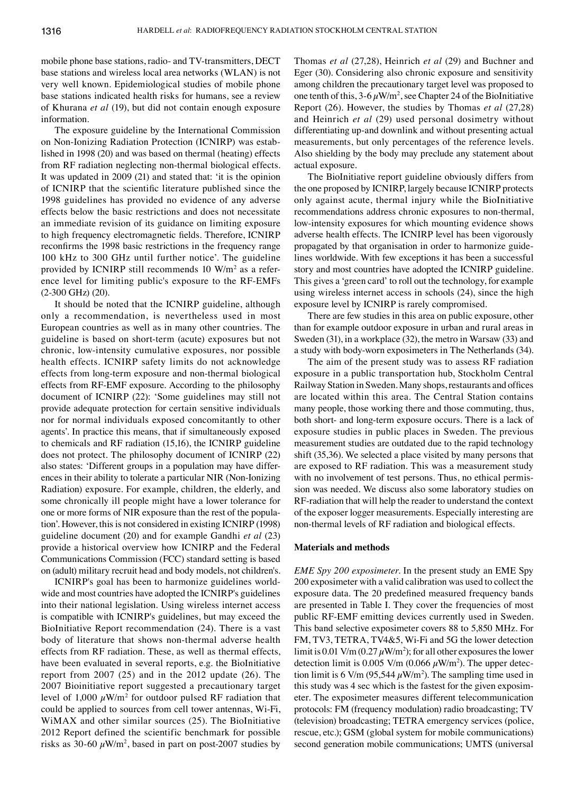mobile phone base stations, radio- and TV-transmitters, DECT base stations and wireless local area networks (WLAN) is not very well known. Epidemiological studies of mobile phone base stations indicated health risks for humans, see a review of Khurana *et al* (19), but did not contain enough exposure information.

The exposure guideline by the International Commission on Non-Ionizing Radiation Protection (ICNIRP) was established in 1998 (20) and was based on thermal (heating) effects from RF radiation neglecting non-thermal biological effects. It was updated in 2009 (21) and stated that: 'it is the opinion of ICNIRP that the scientific literature published since the 1998 guidelines has provided no evidence of any adverse effects below the basic restrictions and does not necessitate an immediate revision of its guidance on limiting exposure to high frequency electromagnetic fields. Therefore, ICNIRP reconfirms the 1998 basic restrictions in the frequency range 100 kHz to 300 GHz until further notice'. The guideline provided by ICNIRP still recommends 10 W/m<sup>2</sup> as a reference level for limiting public's exposure to the RF-EMFs (2-300 GHz) (20).

It should be noted that the ICNIRP guideline, although only a recommendation, is nevertheless used in most European countries as well as in many other countries. The guideline is based on short-term (acute) exposures but not chronic, low-intensity cumulative exposures, nor possible health effects. ICNIRP safety limits do not acknowledge effects from long-term exposure and non-thermal biological effects from RF-EMF exposure. According to the philosophy document of ICNIRP (22): 'Some guidelines may still not provide adequate protection for certain sensitive individuals nor for normal individuals exposed concomitantly to other agents'. In practice this means, that if simultaneously exposed to chemicals and RF radiation (15,16), the ICNIRP guideline does not protect. The philosophy document of ICNIRP (22) also states: 'Different groups in a population may have differences in their ability to tolerate a particular NIR (Non-Ionizing Radiation) exposure. For example, children, the elderly, and some chronically ill people might have a lower tolerance for one or more forms of NIR exposure than the rest of the population'. However, this is not considered in existing ICNIRP (1998) guideline document (20) and for example Gandhi *et al* (23) provide a historical overview how ICNIRP and the Federal Communications Commission (FCC) standard setting is based on (adult) military recruit head and body models, not children's.

ICNIRP's goal has been to harmonize guidelines worldwide and most countries have adopted the ICNIRP's guidelines into their national legislation. Using wireless internet access is compatible with ICNIRP's guidelines, but may exceed the BioInitiative Report recommendation (24). There is a vast body of literature that shows non-thermal adverse health effects from RF radiation. These, as well as thermal effects, have been evaluated in several reports, e.g. the BioInitiative report from 2007 (25) and in the 2012 update (26). The 2007 Bioinitiative report suggested a precautionary target level of  $1,000 \ \mu W/m^2$  for outdoor pulsed RF radiation that could be applied to sources from cell tower antennas, Wi-Fi, WiMAX and other similar sources (25). The BioInitiative 2012 Report defined the scientific benchmark for possible risks as 30-60  $\mu$ W/m<sup>2</sup>, based in part on post-2007 studies by Thomas *et al* (27,28), Heinrich *et al* (29) and Buchner and Eger (30). Considering also chronic exposure and sensitivity among children the precautionary target level was proposed to one tenth of this,  $3-6 \mu W/m^2$ , see Chapter 24 of the BioInitiative Report (26). However, the studies by Thomas *et al* (27,28) and Heinrich *et al* (29) used personal dosimetry without differentiating up-and downlink and without presenting actual measurements, but only percentages of the reference levels. Also shielding by the body may preclude any statement about actual exposure.

The BioInitiative report guideline obviously differs from the one proposed by ICNIRP, largely because ICNIRP protects only against acute, thermal injury while the BioInitiative recommendations address chronic exposures to non-thermal, low-intensity exposures for which mounting evidence shows adverse health effects. The ICNIRP level has been vigorously propagated by that organisation in order to harmonize guidelines worldwide. With few exceptions it has been a successful story and most countries have adopted the ICNIRP guideline. This gives a 'green card' to roll out the technology, for example using wireless internet access in schools (24), since the high exposure level by ICNIRP is rarely compromised.

There are few studies in this area on public exposure, other than for example outdoor exposure in urban and rural areas in Sweden (31), in a workplace (32), the metro in Warsaw (33) and a study with body-worn exposimeters in The Netherlands (34).

The aim of the present study was to assess RF radiation exposure in a public transportation hub, Stockholm Central Railway Station in Sweden. Many shops, restaurants and offices are located within this area. The Central Station contains many people, those working there and those commuting, thus, both short- and long-term exposure occurs. There is a lack of exposure studies in public places in Sweden. The previous measurement studies are outdated due to the rapid technology shift (35,36). We selected a place visited by many persons that are exposed to RF radiation. This was a measurement study with no involvement of test persons. Thus, no ethical permission was needed. We discuss also some laboratory studies on RF-radiation that will help the reader to understand the context of the exposer logger measurements. Especially interesting are non-thermal levels of RF radiation and biological effects.

# **Materials and methods**

*EME Spy 200 exposimeter.* In the present study an EME Spy 200 exposimeter with a valid calibration was used to collect the exposure data. The 20 predefined measured frequency bands are presented in Table I. They cover the frequencies of most public RF-EMF emitting devices currently used in Sweden. This band selective exposimeter covers 88 to 5,850 MHz. For FM, TV3, TETRA, TV4&5, Wi-Fi and 5G the lower detection limit is 0.01 V/m (0.27  $\mu$ W/m<sup>2</sup>); for all other exposures the lower detection limit is 0.005 V/m (0.066  $\mu$ W/m<sup>2</sup>). The upper detection limit is 6 V/m (95,544  $\mu$ W/m<sup>2</sup>). The sampling time used in this study was 4 sec which is the fastest for the given exposimeter. The exposimeter measures different telecommunication protocols: FM (frequency modulation) radio broadcasting; TV (television) broadcasting; TETRA emergency services (police, rescue, etc.); GSM (global system for mobile communications) second generation mobile communications; UMTS (universal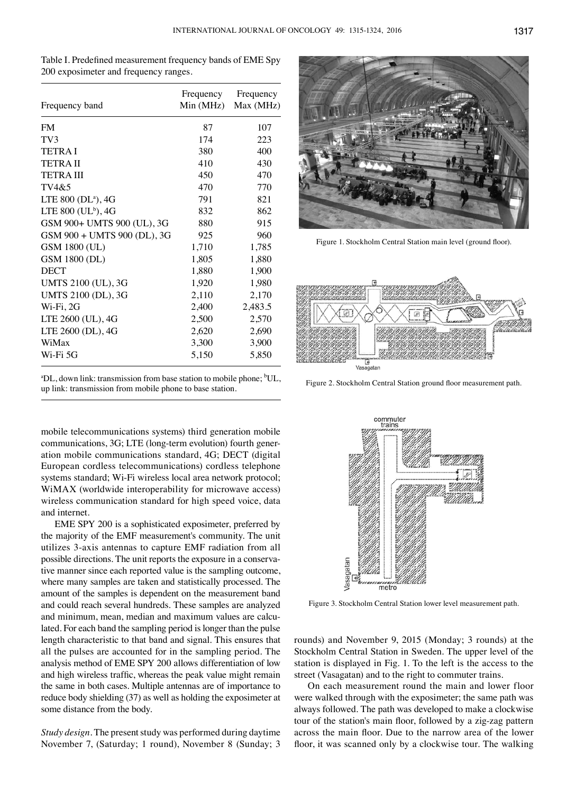| Table I. Predefined measurement frequency bands of EME Spy |  |
|------------------------------------------------------------|--|
| 200 exposimeter and frequency ranges.                      |  |

| Frequency band                 | Frequency<br>Min(MHz) | Frequency<br>Max (MHz) |
|--------------------------------|-----------------------|------------------------|
| <b>FM</b>                      | 87                    | 107                    |
| TV3                            | 174                   | 223                    |
| <b>TETRAI</b>                  | 380                   | 400                    |
| <b>TETRAII</b>                 | 410                   | 430                    |
| <b>TETRAIII</b>                | 450                   | 470                    |
| TVA&5                          | 470                   | 770                    |
| LTE 800 (DL <sup>a</sup> ), 4G | 791                   | 821                    |
| LTE 800 ( $UL^b$ ), 4G         | 832                   | 862                    |
| GSM 900+ UMTS 900 (UL), 3G     | 880                   | 915                    |
| GSM 900 + UMTS 900 (DL), 3G    | 925                   | 960                    |
| GSM 1800 (UL)                  | 1,710                 | 1,785                  |
| GSM 1800 (DL)                  | 1,805                 | 1,880                  |
| <b>DECT</b>                    | 1,880                 | 1,900                  |
| UMTS 2100 (UL), 3G             | 1,920                 | 1,980                  |
| UMTS 2100 (DL), 3G             | 2,110                 | 2,170                  |
| $Wi-Fi, 2G$                    | 2,400                 | 2,483.5                |
| LTE 2600 (UL), 4G              | 2,500                 | 2,570                  |
| LTE 2600 (DL), 4G              | 2,620                 | 2,690                  |
| WiMax                          | 3,300                 | 3,900                  |
| Wi-Fi 5G                       | 5,150                 | 5,850                  |

<sup>&</sup>lt;sup>a</sup>DL, down link: transmission from base station to mobile phone; <sup>b</sup>UL, up link: transmission from mobile phone to base station.

mobile telecommunications systems) third generation mobile communications, 3G; LTE (long-term evolution) fourth generation mobile communications standard, 4G; DECT (digital European cordless telecommunications) cordless telephone systems standard; Wi-Fi wireless local area network protocol; WiMAX (worldwide interoperability for microwave access) wireless communication standard for high speed voice, data and internet.

EME SPY 200 is a sophisticated exposimeter, preferred by the majority of the EMF measurement's community. The unit utilizes 3-axis antennas to capture EMF radiation from all possible directions. The unit reports the exposure in a conservative manner since each reported value is the sampling outcome, where many samples are taken and statistically processed. The amount of the samples is dependent on the measurement band and could reach several hundreds. These samples are analyzed and minimum, mean, median and maximum values are calculated. For each band the sampling period is longer than the pulse length characteristic to that band and signal. This ensures that all the pulses are accounted for in the sampling period. The analysis method of EME SPY 200 allows differentiation of low and high wireless traffic, whereas the peak value might remain the same in both cases. Multiple antennas are of importance to reduce body shielding (37) as well as holding the exposimeter at some distance from the body.

*Study design.* The present study was performed during daytime November 7, (Saturday; 1 round), November 8 (Sunday; 3



Figure 1. Stockholm Central Station main level (ground floor).



Figure 2. Stockholm Central Station ground floor measurement path.



Figure 3. Stockholm Central Station lower level measurement path.

rounds) and November 9, 2015 (Monday; 3 rounds) at the Stockholm Central Station in Sweden. The upper level of the station is displayed in Fig. 1. To the left is the access to the street (Vasagatan) and to the right to commuter trains.

On each measurement round the main and lower floor were walked through with the exposimeter; the same path was always followed. The path was developed to make a clockwise tour of the station's main floor, followed by a zig-zag pattern across the main floor. Due to the narrow area of the lower floor, it was scanned only by a clockwise tour. The walking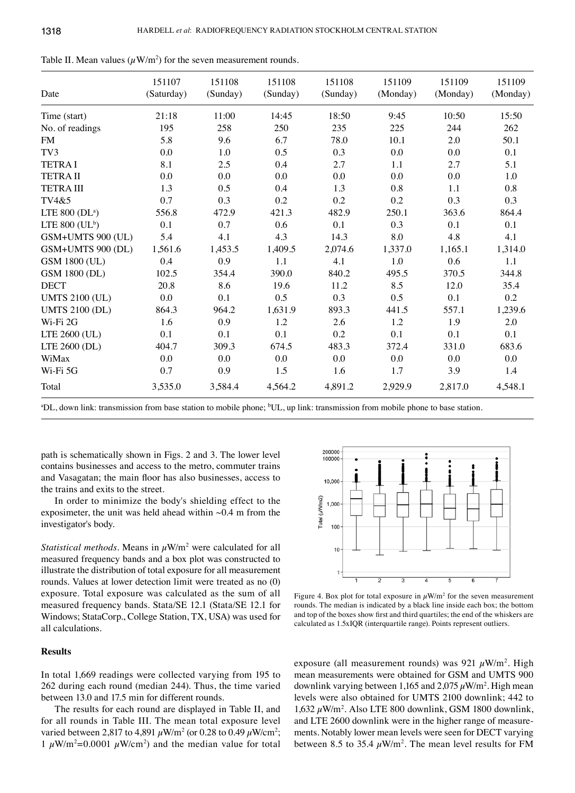| Date                         | 151107<br>(Saturday) | 151108<br>(Sunday) | 151108<br>(Sunday) | 151108<br>(Sunday) | 151109<br>(Monday) | 151109<br>(Monday) | 151109<br>(Monday) |
|------------------------------|----------------------|--------------------|--------------------|--------------------|--------------------|--------------------|--------------------|
| Time (start)                 | 21:18                | 11:00              | 14:45              | 18:50              | 9:45               | 10:50              | 15:50              |
| No. of readings              | 195                  | 258                | 250                | 235                | 225                | 244                | 262                |
| <b>FM</b>                    | 5.8                  | 9.6                | 6.7                | 78.0               | 10.1               | 2.0                | 50.1               |
| TV3                          | 0.0                  | 1.0                | 0.5                | 0.3                | 0.0                | 0.0                | 0.1                |
| <b>TETRAI</b>                | 8.1                  | 2.5                | 0.4                | 2.7                | 1.1                | 2.7                | 5.1                |
| <b>TETRAII</b>               | 0.0                  | $0.0\,$            | 0.0                | $0.0\,$            | 0.0                | 0.0                | $1.0\,$            |
| <b>TETRA III</b>             | 1.3                  | 0.5                | 0.4                | 1.3                | 0.8                | 1.1                | $0.8\,$            |
| TV4&5                        | 0.7                  | 0.3                | 0.2                | 0.2                | 0.2                | 0.3                | 0.3                |
| LTE $800$ (DL <sup>a</sup> ) | 556.8                | 472.9              | 421.3              | 482.9              | 250.1              | 363.6              | 864.4              |
| LTE 800 $(UL^b)$             | 0.1                  | 0.7                | 0.6                | 0.1                | 0.3                | 0.1                | 0.1                |
| GSM+UMTS 900 (UL)            | 5.4                  | 4.1                | 4.3                | 14.3               | 8.0                | 4.8                | 4.1                |
| GSM+UMTS 900 (DL)            | 1,561.6              | 1,453.5            | 1,409.5            | 2,074.6            | 1,337.0            | 1,165.1            | 1,314.0            |
| GSM 1800 (UL)                | 0.4                  | 0.9                | 1.1                | 4.1                | 1.0                | 0.6                | 1.1                |
| GSM 1800 (DL)                | 102.5                | 354.4              | 390.0              | 840.2              | 495.5              | 370.5              | 344.8              |
| <b>DECT</b>                  | 20.8                 | 8.6                | 19.6               | 11.2               | 8.5                | 12.0               | 35.4               |
| <b>UMTS 2100 (UL)</b>        | $0.0\,$              | 0.1                | 0.5                | 0.3                | 0.5                | 0.1                | 0.2                |
| <b>UMTS 2100 (DL)</b>        | 864.3                | 964.2              | 1,631.9            | 893.3              | 441.5              | 557.1              | 1,239.6            |
| Wi-Fi 2G                     | 1.6                  | 0.9                | 1.2                | 2.6                | 1.2                | 1.9                | $2.0\,$            |
| LTE 2600 (UL)                | 0.1                  | 0.1                | 0.1                | 0.2                | 0.1                | 0.1                | 0.1                |
| LTE 2600 (DL)                | 404.7                | 309.3              | 674.5              | 483.3              | 372.4              | 331.0              | 683.6              |
| WiMax                        | 0.0                  | 0.0                | 0.0                | 0.0                | 0.0                | 0.0                | 0.0                |
| Wi-Fi 5G                     | 0.7                  | 0.9                | 1.5                | 1.6                | 1.7                | 3.9                | 1.4                |
| Total                        | 3,535.0              | 3,584.4            | 4,564.2            | 4,891.2            | 2,929.9            | 2,817.0            | 4,548.1            |

Table II. Mean values  $(\mu W/m^2)$  for the seven measurement rounds.

<sup>a</sup>DL, down link: transmission from base station to mobile phone; <sup>b</sup>UL, up link: transmission from mobile phone to base station.

path is schematically shown in Figs. 2 and 3. The lower level contains businesses and access to the metro, commuter trains and Vasagatan; the main floor has also businesses, access to the trains and exits to the street.

In order to minimize the body's shielding effect to the exposimeter, the unit was held ahead within  $\sim 0.4$  m from the investigator's body.

*Statistical methods.* Means in  $\mu$ W/m<sup>2</sup> were calculated for all measured frequency bands and a box plot was constructed to illustrate the distribution of total exposure for all measurement rounds. Values at lower detection limit were treated as no (0) exposure. Total exposure was calculated as the sum of all measured frequency bands. Stata/SE 12.1 (Stata/SE 12.1 for Windows; StataCorp., College Station, TX, USA) was used for all calculations.

### **Results**

In total 1,669 readings were collected varying from 195 to 262 during each round (median 244). Thus, the time varied between 13.0 and 17.5 min for different rounds.

The results for each round are displayed in Table II, and for all rounds in Table III. The mean total exposure level varied between 2,817 to 4,891  $\mu$ W/m<sup>2</sup> (or 0.28 to 0.49  $\mu$ W/cm<sup>2</sup>; 1  $\mu$ W/m<sup>2</sup>=0.0001  $\mu$ W/cm<sup>2</sup>) and the median value for total



Figure 4. Box plot for total exposure in  $\mu$ W/m<sup>2</sup> for the seven measurement rounds. The median is indicated by a black line inside each box; the bottom and top of the boxes show first and third quartiles; the end of the whiskers are calculated as 1.5xIQR (interquartile range). Points represent outliers.

exposure (all measurement rounds) was 921  $\mu$ W/m<sup>2</sup>. High mean measurements were obtained for GSM and UMTS 900 downlink varying between 1,165 and  $2,075 \,\mu\text{W/m}^2$ . High mean levels were also obtained for UMTS 2100 downlink; 442 to 1,632  $\mu$ W/m<sup>2</sup>. Also LTE 800 downlink, GSM 1800 downlink, and LTE 2600 downlink were in the higher range of measurements. Notably lower mean levels were seen for DECT varying between 8.5 to 35.4  $\mu$ W/m<sup>2</sup>. The mean level results for FM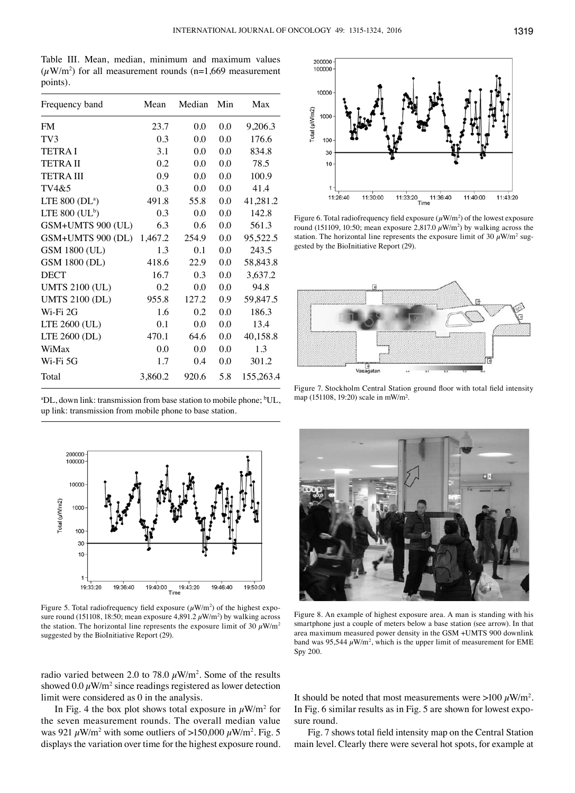Table III. Mean, median, minimum and maximum values  $(\mu W/m^2)$  for all measurement rounds (n=1,669 measurement points).

| Frequency band               | Mean    | Median | Min | Max       |
|------------------------------|---------|--------|-----|-----------|
| <b>FM</b>                    | 23.7    | 0.0    | 0.0 | 9,206.3   |
| TV3                          | 0.3     | 0.0    | 0.0 | 176.6     |
| <b>TETRAI</b>                | 3.1     | 0.0    | 0.0 | 834.8     |
| <b>TETRAII</b>               | 0.2     | 0.0    | 0.0 | 78.5      |
| <b>TETRA III</b>             | 0.9     | 0.0    | 0.0 | 100.9     |
| TV4&5                        | 0.3     | 0.0    | 0.0 | 41.4      |
| LTE $800$ (DL <sup>a</sup> ) | 491.8   | 55.8   | 0.0 | 41,281.2  |
| LTE 800 $(UL^b)$             | 0.3     | 0.0    | 0.0 | 142.8     |
| GSM+UMTS 900 (UL)            | 6.3     | 0.6    | 0.0 | 561.3     |
| GSM+UMTS 900 (DL)            | 1,467.2 | 254.9  | 0.0 | 95,522.5  |
| GSM 1800 (UL)                | 1.3     | 0.1    | 0.0 | 243.5     |
| GSM 1800 (DL)                | 418.6   | 22.9   | 0.0 | 58,843.8  |
| <b>DECT</b>                  | 16.7    | 0.3    | 0.0 | 3,637.2   |
| <b>UMTS 2100 (UL)</b>        | 0.2     | 0.0    | 0.0 | 94.8      |
| <b>UMTS 2100 (DL)</b>        | 955.8   | 127.2  | 0.9 | 59,847.5  |
| Wi-Fi 2G                     | 1.6     | 0.2    | 0.0 | 186.3     |
| LTE 2600 (UL)                | 0.1     | 0.0    | 0.0 | 13.4      |
| LTE 2600 (DL)                | 470.1   | 64.6   | 0.0 | 40,158.8  |
| WiMax                        | 0.0     | 0.0    | 0.0 | 1.3       |
| Wi-Fi 5G                     | 1.7     | 0.4    | 0.0 | 301.2     |
| Total                        | 3,860.2 | 920.6  | 5.8 | 155,263.4 |

<sup>a</sup>DL, down link: transmission from base station to mobile phone; <sup>b</sup>UL, up link: transmission from mobile phone to base station.



Figure 5. Total radiofrequency field exposure  $(\mu W/m^2)$  of the highest exposure round (151108, 18:50; mean exposure  $4,891.2 \,\mu\text{W/m}^2$ ) by walking across the station. The horizontal line represents the exposure limit of 30  $\mu$ W/m<sup>2</sup> suggested by the BioInitiative Report (29).

radio varied between 2.0 to 78.0  $\mu$ W/m<sup>2</sup>. Some of the results showed  $0.0 \,\mu\text{W/m}^2$  since readings registered as lower detection limit were considered as 0 in the analysis.

In Fig. 4 the box plot shows total exposure in  $\mu$ W/m<sup>2</sup> for the seven measurement rounds. The overall median value was 921  $\mu$ W/m<sup>2</sup> with some outliers of >150,000  $\mu$ W/m<sup>2</sup>. Fig. 5 displays the variation over time for the highest exposure round.



Figure 6. Total radiofrequency field exposure  $(\mu W/m^2)$  of the lowest exposure round (151109, 10:50; mean exposure 2,817.0  $\mu$ W/m<sup>2</sup>) by walking across the station. The horizontal line represents the exposure limit of 30  $\mu$ W/m<sup>2</sup> suggested by the BioInitiative Report (29).



Figure 7. Stockholm Central Station ground floor with total field intensity map (151108, 19:20) scale in mW/m².



Figure 8. An example of highest exposure area. A man is standing with his smartphone just a couple of meters below a base station (see arrow). In that area maximum measured power density in the GSM +UMTS 900 downlink band was 95,544  $\mu$ W/m<sup>2</sup>, which is the upper limit of measurement for EME Spy 200.

It should be noted that most measurements were  $>100 \mu W/m^2$ . In Fig. 6 similar results as in Fig. 5 are shown for lowest exposure round.

Fig. 7 shows total field intensity map on the Central Station main level. Clearly there were several hot spots, for example at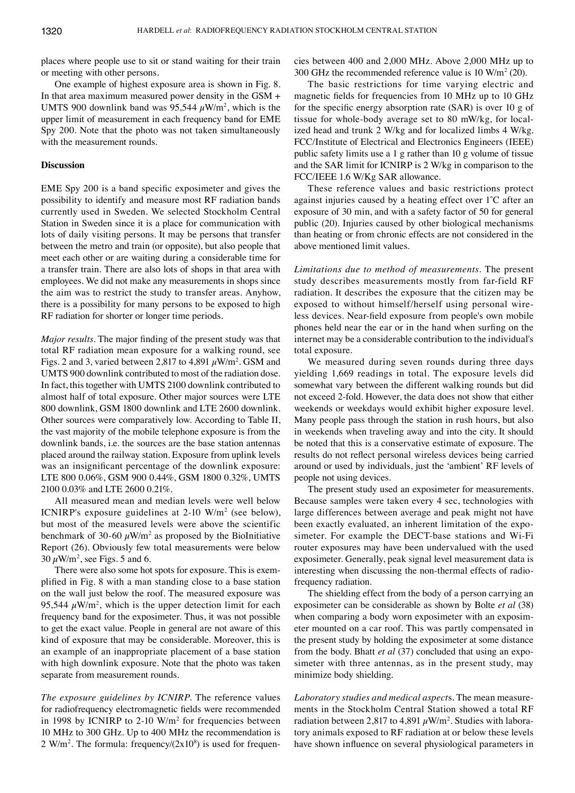places where people use to sit or stand waiting for their train or meeting with other persons.

One example of highest exposure area is shown in Fig. 8. In that area maximum measured power density in the GSM + UMTS 900 downlink band was 95,544  $\mu$ W/m<sup>2</sup>, which is the upper limit of measurement in each frequency band for EME Spy 200. Note that the photo was not taken simultaneously with the measurement rounds.

# **Discussion**

EME Spy 200 is a band specific exposimeter and gives the possibility to identify and measure most RF radiation bands currently used in Sweden. We selected Stockholm Central Station in Sweden since it is a place for communication with lots of daily visiting persons. It may be persons that transfer between the metro and train (or opposite), but also people that meet each other or are waiting during a considerable time for a transfer train. There are also lots of shops in that area with employees. We did not make any measurements in shops since the aim was to restrict the study to transfer areas. Anyhow, there is a possibility for many persons to be exposed to high RF radiation for shorter or longer time periods.

*Major results*. The major finding of the present study was that total RF radiation mean exposure for a walking round, see Figs. 2 and 3, varied between 2,817 to 4,891  $\mu$ W/m<sup>2</sup>. GSM and UMTS 900 downlink contributed to most of the radiation dose. In fact, this together with UMTS 2100 downlink contributed to almost half of total exposure. Other major sources were LTE 800 downlink, GSM 1800 downlink and LTE 2600 downlink. Other sources were comparatively low. According to Table II, the vast majority of the mobile telephone exposure is from the downlink bands, i.e. the sources are the base station antennas placed around the railway station. Exposure from uplink levels was an insignificant percentage of the downlink exposure: LTE 800 0.06%, GSM 900 0.44%, GSM 1800 0.32%, UMTS 2100 0.03% and LTE 2600 0.21%.

All measured mean and median levels were well below ICNIRP's exposure guidelines at  $2\n-10$  W/m<sup>2</sup> (see below), but most of the measured levels were above the scientific benchmark of 30-60  $\mu$ W/m<sup>2</sup> as proposed by the BioInitiative Report (26). Obviously few total measurements were below 30  $\mu$ W/m<sup>2</sup>, see Figs. 5 and 6.

There were also some hot spots for exposure. This is exemplified in Fig. 8 with a man standing close to a base station on the wall just below the roof. The measured exposure was 95,544  $\mu$ W/m<sup>2</sup>, which is the upper detection limit for each frequency band for the exposimeter. Thus, it was not possible to get the exact value. People in general are not aware of this kind of exposure that may be considerable. Moreover, this is an example of an inappropriate placement of a base station with high downlink exposure. Note that the photo was taken separate from measurement rounds.

*The exposure guidelines by ICNIRP.* The reference values for radiofrequency electromagnetic fields were recommended in 1998 by ICNIRP to  $2-10$  W/m<sup>2</sup> for frequencies between 10 MHz to 300 GHz. Up to 400 MHz the recommendation is  $2 \text{ W/m}^2$ . The formula: frequency/ $(2x10<sup>8</sup>)$  is used for frequencies between 400 and 2,000 MHz. Above 2,000 MHz up to 300 GHz the recommended reference value is 10  $\text{W/m}^2$  (20).

The basic restrictions for time varying electric and magnetic fields for frequencies from 10 MHz up to 10 GHz for the specific energy absorption rate (SAR) is over 10 g of tissue for whole-body average set to 80 mW/kg, for localized head and trunk 2 W/kg and for localized limbs 4 W/kg. FCC/Institute of Electrical and Electronics Engineers (IEEE) public safety limits use a 1 g rather than 10 g volume of tissue and the SAR limit for ICNIRP is 2 W/kg in comparison to the FCC/IEEE 1.6 W/Kg SAR allowance.

These reference values and basic restrictions protect against injuries caused by a heating effect over 1˚C after an exposure of 30 min, and with a safety factor of 50 for general public (20). Injuries caused by other biological mechanisms than heating or from chronic effects are not considered in the above mentioned limit values.

*Limitations due to method of measurements*. The present study describes measurements mostly from far-field RF radiation. It describes the exposure that the citizen may be exposed to without himself/herself using personal wireless devices. Near-field exposure from people's own mobile phones held near the ear or in the hand when surfing on the internet may be a considerable contribution to the individual's total exposure.

We measured during seven rounds during three days yielding 1,669 readings in total. The exposure levels did somewhat vary between the different walking rounds but did not exceed 2-fold. However, the data does not show that either weekends or weekdays would exhibit higher exposure level. Many people pass through the station in rush hours, but also in weekends when traveling away and into the city. It should be noted that this is a conservative estimate of exposure. The results do not reflect personal wireless devices being carried around or used by individuals, just the 'ambient' RF levels of people not using devices.

The present study used an exposimeter for measurements. Because samples were taken every 4 sec, technologies with large differences between average and peak might not have been exactly evaluated, an inherent limitation of the exposimeter. For example the DECT-base stations and Wi-Fi router exposures may have been undervalued with the used exposimeter. Generally, peak signal level measurement data is interesting when discussing the non-thermal effects of radiofrequency radiation.

The shielding effect from the body of a person carrying an exposimeter can be considerable as shown by Bolte *et al* (38) when comparing a body worn exposimeter with an exposimeter mounted on a car roof. This was partly compensated in the present study by holding the exposimeter at some distance from the body. Bhatt *et al* (37) concluded that using an exposimeter with three antennas, as in the present study, may minimize body shielding.

*Laboratory studies and medical aspect*s. The mean measurements in the Stockholm Central Station showed a total RF radiation between 2,817 to 4,891  $\mu$ W/m<sup>2</sup>. Studies with laboratory animals exposed to RF radiation at or below these levels have shown influence on several physiological parameters in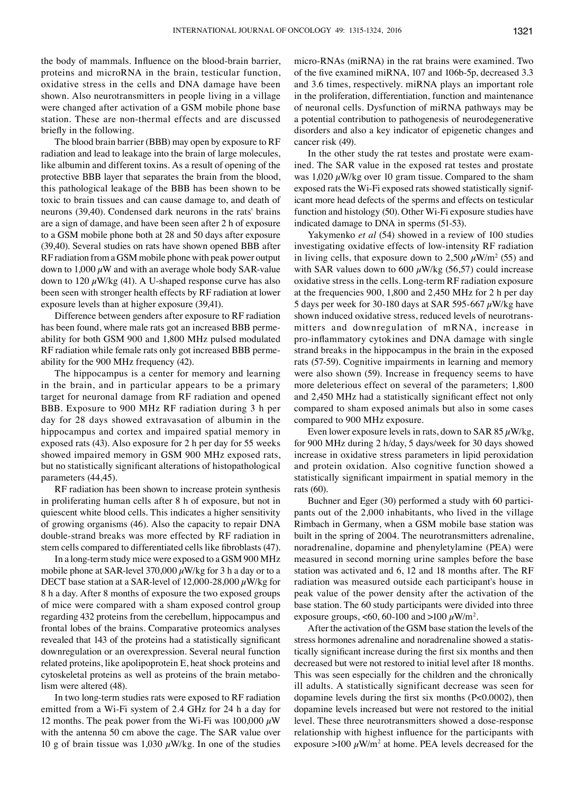the body of mammals. Influence on the blood-brain barrier, proteins and microRNA in the brain, testicular function, oxidative stress in the cells and DNA damage have been shown. Also neurotransmitters in people living in a village were changed after activation of a GSM mobile phone base station. These are non-thermal effects and are discussed briefly in the following.

The blood brain barrier (BBB) may open by exposure to RF radiation and lead to leakage into the brain of large molecules, like albumin and different toxins. As a result of opening of the protective BBB layer that separates the brain from the blood, this pathological leakage of the BBB has been shown to be toxic to brain tissues and can cause damage to, and death of neurons (39,40). Condensed dark neurons in the rats' brains are a sign of damage, and have been seen after 2 h of exposure to a GSM mobile phone both at 28 and 50 days after exposure (39,40). Several studies on rats have shown opened BBB after RF radiation from a GSM mobile phone with peak power output down to  $1,000 \mu$ W and with an average whole body SAR-value down to 120  $\mu$ W/kg (41). A U-shaped response curve has also been seen with stronger health effects by RF radiation at lower exposure levels than at higher exposure (39,41).

Difference between genders after exposure to RF radiation has been found, where male rats got an increased BBB permeability for both GSM 900 and 1,800 MHz pulsed modulated RF radiation while female rats only got increased BBB permeability for the 900 MHz frequency (42).

The hippocampus is a center for memory and learning in the brain, and in particular appears to be a primary target for neuronal damage from RF radiation and opened BBB. Exposure to 900 MHz RF radiation during 3 h per day for 28 days showed extravasation of albumin in the hippocampus and cortex and impaired spatial memory in exposed rats (43). Also exposure for 2 h per day for 55 weeks showed impaired memory in GSM 900 MHz exposed rats, but no statistically significant alterations of histopathological parameters (44,45).

RF radiation has been shown to increase protein synthesis in proliferating human cells after 8 h of exposure, but not in quiescent white blood cells. This indicates a higher sensitivity of growing organisms (46). Also the capacity to repair DNA double-strand breaks was more effected by RF radiation in stem cells compared to differentiated cells like fibroblasts (47).

In a long-term study mice were exposed to a GSM 900 MHz mobile phone at SAR-level 370,000  $\mu$ W/kg for 3 h a day or to a DECT base station at a SAR-level of 12,000-28,000  $\mu$ W/kg for 8 h a day. After 8 months of exposure the two exposed groups of mice were compared with a sham exposed control group regarding 432 proteins from the cerebellum, hippocampus and frontal lobes of the brains. Comparative proteomics analyses revealed that 143 of the proteins had a statistically significant downregulation or an overexpression. Several neural function related proteins, like apolipoprotein E, heat shock proteins and cytoskeletal proteins as well as proteins of the brain metabolism were altered (48).

In two long-term studies rats were exposed to RF radiation emitted from a Wi-Fi system of 2.4 GHz for 24 h a day for 12 months. The peak power from the Wi-Fi was 100,000  $\mu$ W with the antenna 50 cm above the cage. The SAR value over 10 g of brain tissue was 1,030  $\mu$ W/kg. In one of the studies micro-RNAs (miRNA) in the rat brains were examined. Two of the five examined miRNA, 107 and 106b-5p, decreased 3.3 and 3.6 times, respectively. miRNA plays an important role in the proliferation, differentiation, function and maintenance of neuronal cells. Dysfunction of miRNA pathways may be a potential contribution to pathogenesis of neurodegenerative disorders and also a key indicator of epigenetic changes and cancer risk (49).

In the other study the rat testes and prostate were examined. The SAR value in the exposed rat testes and prostate was  $1,020 \mu$ W/kg over 10 gram tissue. Compared to the sham exposed rats the Wi-Fi exposed rats showed statistically significant more head defects of the sperms and effects on testicular function and histology (50). Other Wi-Fi exposure studies have indicated damage to DNA in sperms (51-53).

Yakymenko *et al* (54) showed in a review of 100 studies investigating oxidative effects of low-intensity RF radiation in living cells, that exposure down to  $2,500 \ \mu \text{W/m}^2$  (55) and with SAR values down to 600  $\mu$ W/kg (56,57) could increase oxidative stress in the cells. Long-term RF radiation exposure at the frequencies 900, 1,800 and 2,450 MHz for 2 h per day 5 days per week for 30-180 days at SAR 595-667  $\mu$ W/kg have shown induced oxidative stress, reduced levels of neurotransmitters and downregulation of mRNA, increase in pro-inflammatory cytokines and DNA damage with single strand breaks in the hippocampus in the brain in the exposed rats (57-59). Cognitive impairments in learning and memory were also shown (59). Increase in frequency seems to have more deleterious effect on several of the parameters; 1,800 and 2,450 MHz had a statistically significant effect not only compared to sham exposed animals but also in some cases compared to 900 MHz exposure.

Even lower exposure levels in rats, down to SAR 85  $\mu$ W/kg, for 900 MHz during 2 h/day, 5 days/week for 30 days showed increase in oxidative stress parameters in lipid peroxidation and protein oxidation. Also cognitive function showed a statistically significant impairment in spatial memory in the rats (60).

Buchner and Eger (30) performed a study with 60 participants out of the 2,000 inhabitants, who lived in the village Rimbach in Germany, when a GSM mobile base station was built in the spring of 2004. The neurotransmitters adrenaline, noradrenaline, dopamine and phenyletylamine (PEA) were measured in second morning urine samples before the base station was activated and 6, 12 and 18 months after. The RF radiation was measured outside each participant's house in peak value of the power density after the activation of the base station. The 60 study participants were divided into three exposure groups, <60, 60-100 and >100  $\mu$ W/m<sup>2</sup>.

After the activation of the GSM base station the levels of the stress hormones adrenaline and noradrenaline showed a statistically significant increase during the first six months and then decreased but were not restored to initial level after 18 months. This was seen especially for the children and the chronically ill adults. A statistically significant decrease was seen for dopamine levels during the first six months (P<0.0002), then dopamine levels increased but were not restored to the initial level. These three neurotransmitters showed a dose-response relationship with highest influence for the participants with exposure  $>100 \mu W/m^2$  at home. PEA levels decreased for the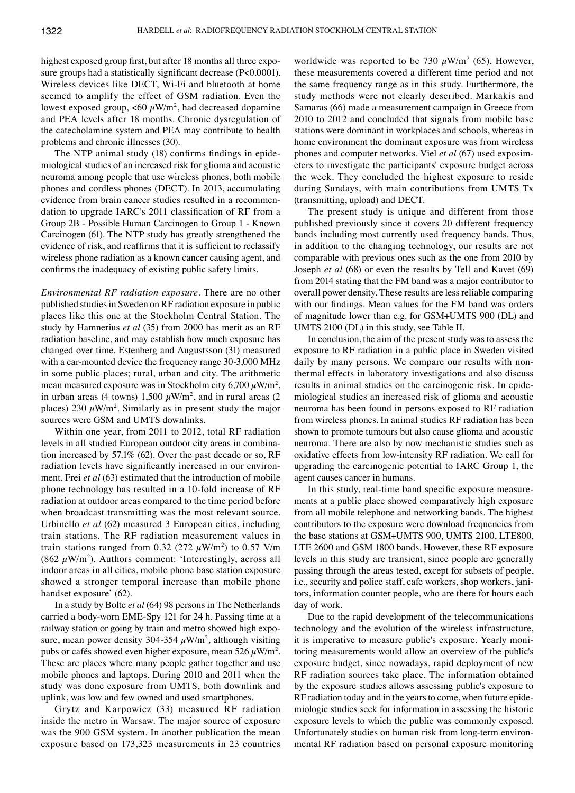highest exposed group first, but after 18 months all three exposure groups had a statistically significant decrease (P<0.0001). Wireless devices like DECT, Wi-Fi and bluetooth at home seemed to amplify the effect of GSM radiation. Even the lowest exposed group,  $\langle 60 \mu W/m^2$ , had decreased dopamine and PEA levels after 18 months. Chronic dysregulation of the catecholamine system and PEA may contribute to health problems and chronic illnesses (30).

The NTP animal study (18) confirms findings in epidemiological studies of an increased risk for glioma and acoustic neuroma among people that use wireless phones, both mobile phones and cordless phones (DECT). In 2013, accumulating evidence from brain cancer studies resulted in a recommendation to upgrade IARC's 2011 classification of RF from a Group 2B - Possible Human Carcinogen to Group 1 - Known Carcinogen (61). The NTP study has greatly strengthened the evidence of risk, and reaffirms that it is sufficient to reclassify wireless phone radiation as a known cancer causing agent, and confirms the inadequacy of existing public safety limits.

*Environmental RF radiation exposure.* There are no other published studies in Sweden on RF radiation exposure in public places like this one at the Stockholm Central Station. The study by Hamnerius *et al* (35) from 2000 has merit as an RF radiation baseline, and may establish how much exposure has changed over time. Estenberg and Augustsson (31) measured with a car-mounted device the frequency range 30-3,000 MHz in some public places; rural, urban and city. The arithmetic mean measured exposure was in Stockholm city 6,700  $\mu$ W/m<sup>2</sup>, in urban areas (4 towns) 1,500  $\mu$ W/m<sup>2</sup>, and in rural areas (2 places)  $230 \mu W/m^2$ . Similarly as in present study the major sources were GSM and UMTS downlinks.

Within one year, from 2011 to 2012, total RF radiation levels in all studied European outdoor city areas in combination increased by 57.1% (62). Over the past decade or so, RF radiation levels have significantly increased in our environment. Frei *et al* (63) estimated that the introduction of mobile phone technology has resulted in a 10-fold increase of RF radiation at outdoor areas compared to the time period before when broadcast transmitting was the most relevant source. Urbinello *et al* (62) measured 3 European cities, including train stations. The RF radiation measurement values in train stations ranged from 0.32 (272  $\mu$ W/m<sup>2</sup>) to 0.57 V/m (862  $\mu$ W/m<sup>2</sup>). Authors comment: 'Interestingly, across all indoor areas in all cities, mobile phone base station exposure showed a stronger temporal increase than mobile phone handset exposure' (62).

In a study by Bolte *et al* (64) 98 persons in The Netherlands carried a body-worn EME-Spy 121 for 24 h. Passing time at a railway station or going by train and metro showed high exposure, mean power density 304-354  $\mu$ W/m<sup>2</sup>, although visiting pubs or cafés showed even higher exposure, mean 526  $\mu$ W/m<sup>2</sup>. These are places where many people gather together and use mobile phones and laptops. During 2010 and 2011 when the study was done exposure from UMTS, both downlink and uplink, was low and few owned and used smartphones.

Grytz and Karpowicz (33) measured RF radiation inside the metro in Warsaw. The major source of exposure was the 900 GSM system. In another publication the mean exposure based on 173,323 measurements in 23 countries

worldwide was reported to be 730  $\mu$ W/m<sup>2</sup> (65). However, these measurements covered a different time period and not the same frequency range as in this study. Furthermore, the study methods were not clearly described. Markakis and Samaras (66) made a measurement campaign in Greece from 2010 to 2012 and concluded that signals from mobile base stations were dominant in workplaces and schools, whereas in home environment the dominant exposure was from wireless phones and computer networks. Viel *et al* (67) used exposimeters to investigate the participants' exposure budget across the week. They concluded the highest exposure to reside during Sundays, with main contributions from UMTS Tx (transmitting, upload) and DECT.

The present study is unique and different from those published previously since it covers 20 different frequency bands including most currently used frequency bands. Thus, in addition to the changing technology, our results are not comparable with previous ones such as the one from 2010 by Joseph *et al* (68) or even the results by Tell and Kavet (69) from 2014 stating that the FM band was a major contributor to overall power density. These results are less reliable comparing with our findings. Mean values for the FM band was orders of magnitude lower than e.g. for GSM+UMTS 900 (DL) and UMTS 2100 (DL) in this study, see Table II.

In conclusion, the aim of the present study was to assess the exposure to RF radiation in a public place in Sweden visited daily by many persons. We compare our results with nonthermal effects in laboratory investigations and also discuss results in animal studies on the carcinogenic risk. In epidemiological studies an increased risk of glioma and acoustic neuroma has been found in persons exposed to RF radiation from wireless phones. In animal studies RF radiation has been shown to promote tumours but also cause glioma and acoustic neuroma. There are also by now mechanistic studies such as oxidative effects from low-intensity RF radiation. We call for upgrading the carcinogenic potential to IARC Group 1, the agent causes cancer in humans.

In this study, real-time band specific exposure measurements at a public place showed comparatively high exposure from all mobile telephone and networking bands. The highest contributors to the exposure were download frequencies from the base stations at GSM+UMTS 900, UMTS 2100, LTE800, LTE 2600 and GSM 1800 bands. However, these RF exposure levels in this study are transient, since people are generally passing through the areas tested, except for subsets of people, i.e., security and police staff, cafe workers, shop workers, janitors, information counter people, who are there for hours each day of work.

Due to the rapid development of the telecommunications technology and the evolution of the wireless infrastructure, it is imperative to measure public's exposure. Yearly monitoring measurements would allow an overview of the public's exposure budget, since nowadays, rapid deployment of new RF radiation sources take place. The information obtained by the exposure studies allows assessing public's exposure to RF radiation today and in the years to come, when future epidemiologic studies seek for information in assessing the historic exposure levels to which the public was commonly exposed. Unfortunately studies on human risk from long-term environmental RF radiation based on personal exposure monitoring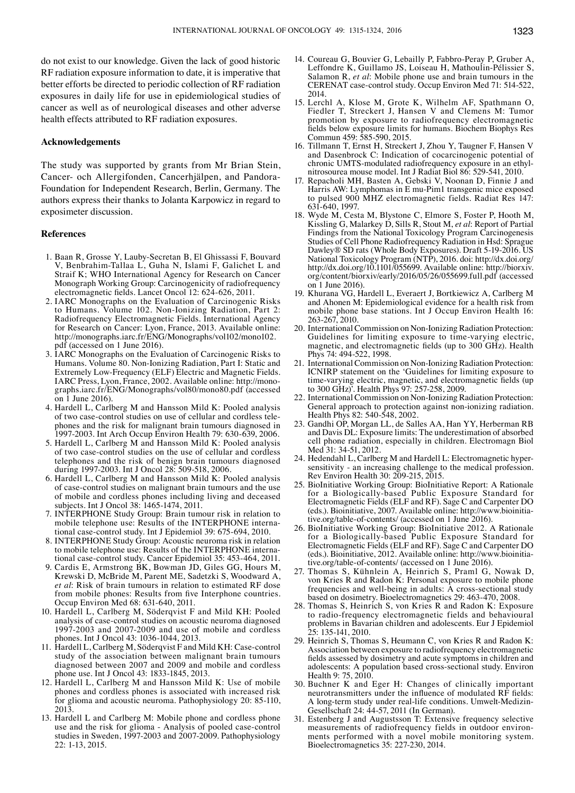do not exist to our knowledge. Given the lack of good historic RF radiation exposure information to date, it is imperative that better efforts be directed to periodic collection of RF radiation exposures in daily life for use in epidemiological studies of cancer as well as of neurological diseases and other adverse health effects attributed to RF radiation exposures.

## **Acknowledgements**

The study was supported by grants from Mr Brian Stein, Cancer- och Allergifonden, Cancerhjälpen, and Pandora-Foundation for Independent Research, Berlin, Germany. The authors express their thanks to Jolanta Karpowicz in regard to exposimeter discussion.

#### **References**

- 1. Baan R, Grosse Y, Lauby-Secretan B, El Ghissassi F, Bouvard V, Benbrahim-Tallaa L, Guha N, Islami F, Galichet L and Straif K; WHO International Agency for Research on Cancer Monograph Working Group: Carcinogenicity of radiofrequency electromagnetic fields. Lancet Oncol 12: 624-626, 2011.
- 2. IARC Monographs on the Evaluation of Carcinogenic Risks to Humans. Volume 102. Non-Ionizing Radiation, Part 2: Radiofrequency Electromagnetic Fields. International Agency for Research on Cancer: Lyon, France, 2013. Available online: http://monographs.iarc.fr/ENG/Monographs/vol102/mono102. pdf (accessed on 1 June 2016).
- 3. IARC Monographs on the Evaluation of Carcinogenic Risks to Humans. Volume 80. Non-Ionizing Radiation, Part I: Static and Extremely Low-Frequency (ELF) Electric and Magnetic Fields. IARC Press, Lyon, France, 2002. Available online: http://monographs.iarc.fr/ENG/Monographs/vol80/mono80.pdf (accessed on 1 June 2016).
- 4. Hardell L, Carlberg M and Hansson Mild K: Pooled analysis of two case-control studies on use of cellular and cordless telephones and the risk for malignant brain tumours diagnosed in 1997-2003. Int Arch Occup Environ Health 79: 630-639, 2006.
- 5. Hardell L, Carlberg M and Hansson Mild K: Pooled analysis of two case-control studies on the use of cellular and cordless telephones and the risk of benign brain tumours diagnosed during 1997-2003. Int J Oncol 28: 509-518, 2006.
- 6. Hardell L, Carlberg M and Hansson Mild K: Pooled analysis of case-control studies on malignant brain tumours and the use of mobile and cordless phones including living and deceased subjects. Int J Oncol 38: 1465-1474, 2011.
- 7. INTERPHONE Study Group: Brain tumour risk in relation to mobile telephone use: Results of the INTERPHONE international case-control study. Int J Epidemiol 39: 675-694, 2010.
- 8. INTERPHONE Study Group: Acoustic neuroma risk in relation to mobile telephone use: Results of the INTERPHONE international case-control study. Cancer Epidemiol 35: 453-464, 2011.
- Cardis E, Armstrong BK, Bowman JD, Giles GG, Hours M, Krewski D, McBride M, Parent ME, Sadetzki S, Woodward A, *et al*: Risk of brain tumours in relation to estimated RF dose from mobile phones: Results from five Interphone countries. Occup Environ Med 68: 631-640, 2011.
- 10. Hardell L, Carlberg M, Söderqvist F and Mild KH: Pooled analysis of case-control studies on acoustic neuroma diagnosed 1997-2003 and 2007-2009 and use of mobile and cordless phones. Int J Oncol 43: 1036-1044, 2013.
- 11. Hardell L, Carlberg M, Söderqvist F and Mild KH: Case-control study of the association between malignant brain tumours diagnosed between 2007 and 2009 and mobile and cordless phone use. Int J Oncol 43: 1833-1845, 2013.
- 12. Hardell L, Carlberg M and Hansson Mild K: Use of mobile phones and cordless phones is associated with increased risk for glioma and acoustic neuroma. Pathophysiology 20: 85-110, 2013.
- 13. Hardell L and Carlberg M: Mobile phone and cordless phone use and the risk for glioma - Analysis of pooled case-control studies in Sweden, 1997-2003 and 2007-2009. Pathophysiology 22: 1-13, 2015.
- 14. Coureau G, Bouvier G, Lebailly P, Fabbro-Peray P, Gruber A, Leffondre K, Guillamo JS, Loiseau H, Mathoulin-Pélissier S, Salamon R, *et al*: Mobile phone use and brain tumours in the CERENAT case-control study. Occup Environ Med 71: 514-522, 2014.
- 15. Lerchl A, Klose M, Grote K, Wilhelm AF, Spathmann O, Fiedler T, Streckert J, Hansen V and Clemens M: Tumor promotion by exposure to radiofrequency electromagnetic fields below exposure limits for humans. Biochem Biophys Res Commun 459: 585-590, 2015.
- 16. Tillmann T, Ernst H, Streckert J, Zhou Y, Taugner F, Hansen V and Dasenbrock C: Indication of cocarcinogenic potential of chronic UMTS-modulated radiofrequency exposure in an ethylnitrosourea mouse model. Int J Radiat Biol 86: 529-541, 2010.
- 17. Repacholi MH, Basten A, Gebski V, Noonan D, Finnie J and Harris AW: Lymphomas in E mu-Pim1 transgenic mice exposed to pulsed 900 MHZ electromagnetic fields. Radiat Res 147: 631-640, 1997.
- 18. Wyde M, Cesta M, Blystone C, Elmore S, Foster P, Hooth M, Kissling G, Malarkey D, Sills R, Stout M, *et al*: Report of Partial Findings from the National Toxicology Program Carcinogenesis Studies of Cell Phone Radiofrequency Radiation in Hsd: Sprague Dawley® SD rats (Whole Body Exposures). Draft 5-19-2016. US National Toxicology Program (NTP), 2016. doi: http://dx.doi.org/ http://dx.doi.org/10.1101/055699. Available online: http://biorxiv. org/content/biorxiv/early/2016/05/26/055699.full.pdf (accessed on 1 June 2016).
- 19. Khurana VG, Hardell L, Everaert J, Bortkiewicz A, Carlberg M and Ahonen M: Epidemiological evidence for a health risk from mobile phone base stations. Int J Occup Environ Health 16: 263-267, 2010.
- 20. International Commission on Non-Ionizing Radiation Protection: Guidelines for limiting exposure to time-varying electric, magnetic, and electromagnetic fields (up to 300 GHz). Health Phys 74: 494-522, 1998.
- 21. International Commission on Non-Ionizing Radiation Protection: ICNIRP statement on the 'Guidelines for limiting exposure to time-varying electric, magnetic, and electromagnetic fields (up to 300 GHz)'. Health Phys 97: 257-258, 2009.
- 22. International Commission on Non-Ionizing Radiation Protection: General approach to protection against non-ionizing radiation. Health Phys 82: 540-548, 2002.
- 23. Gandhi OP, Morgan LL, de Salles AA, Han YY, Herberman RB and Davis DL: Exposure limits: The underestimation of absorbed cell phone radiation, especially in children. Electromagn Biol Med<sup>31</sup>: 34-51, 2012.
- 24. Hedendahl L, Carlberg M and Hardell L: Electromagnetic hypersensitivity - an increasing challenge to the medical profession. Rev Environ Health 30: 209-215, 2015.
- 25. BioInitiative Working Group: BioInitiative Report: A Rationale for a Biologically-based Public Exposure Standard for Electromagnetic Fields (ELF and RF). Sage C and Carpenter DO (eds.). Bioinitiative, 2007. Available online: http://www.bioinitiative.org/table-of-contents/ (accessed on 1 June 2016).
- 26. BioInitiative Working Group: BioInitiative 2012. A Rationale for a Biologically-based Public Exposure Standard for Electromagnetic Fields (ELF and RF). Sage C and Carpenter DO (eds.). Bioinitiative, 2012. Available online: http://www.bioinitiative.org/table-of-contents/ (accessed on 1 June 2016).
- 27. Thomas S, Kühnlein A, Heinrich S, Praml G, Nowak D, von Kries R and Radon K: Personal exposure to mobile phone frequencies and well-being in adults: A cross-sectional study based on dosimetry. Bioelectromagnetics 29: 463-470, 2008.
- 28. Thomas S, Heinrich S, von Kries R and Radon K: Exposure to radio-frequency electromagnetic fields and behavioural problems in Bavarian children and adolescents. Eur J Epidemiol 25: 135-141, 2010.
- 29. Heinrich S, Thomas S, Heumann C, von Kries R and Radon K: Association between exposure to radiofrequency electromagnetic fields assessed by dosimetry and acute symptoms in children and adolescents: A population based cross-sectional study. Environ Health 9: 75, 2010.
- 30. Buchner K and Eger H: Changes of clinically important neurotransmitters under the influence of modulated RF fields: A long-term study under real-life conditions. Umwelt-Medizin-Gesellschaft 24: 44-57, 2011 (in German).
- 31. Estenberg J and Augustsson T: Extensive frequency selective measurements of radiofrequency fields in outdoor environments performed with a novel mobile monitoring system. Bioelectromagnetics 35: 227-230, 2014.